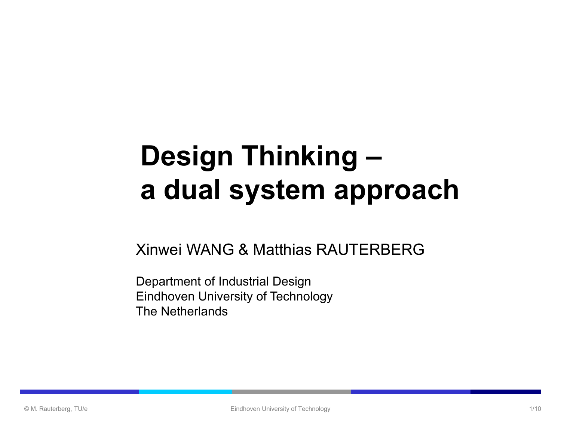## **Design Thinking – a dual system approach**

Xinwei WANG & Matthias RAUTERBERG

Department of Industrial Design Eindhoven University of Technology The Netherlands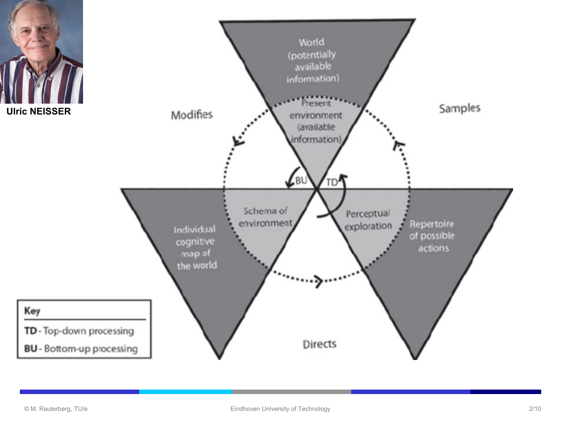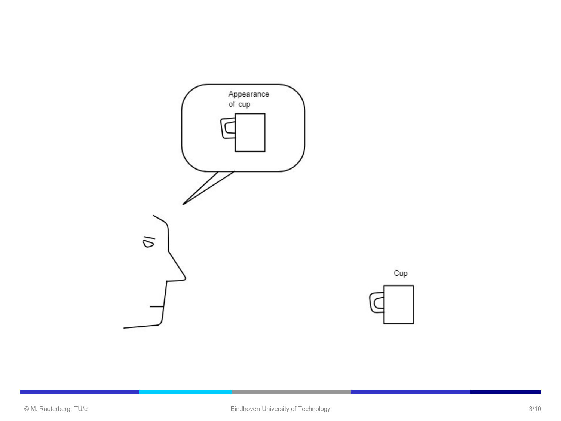

Cup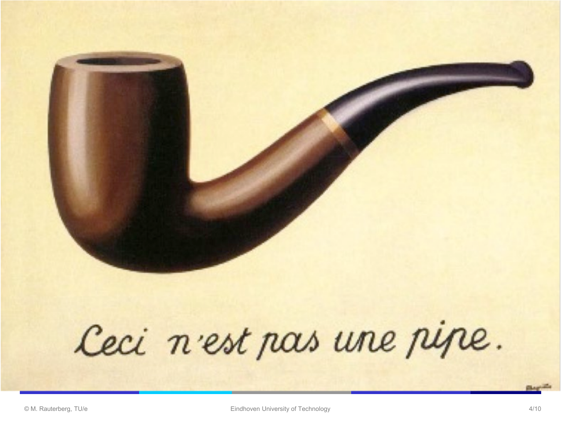

## Ceci n'est pas une pipe.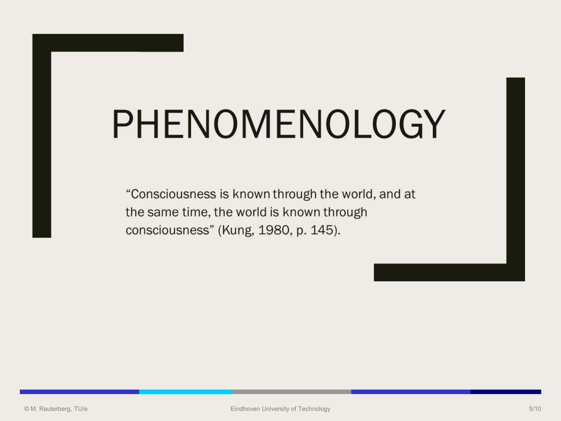# PHENOMENOLOGY

"Consciousness is known through the world, and at the same time, the world is known through consciousness" (Kung, 1980, p. 145).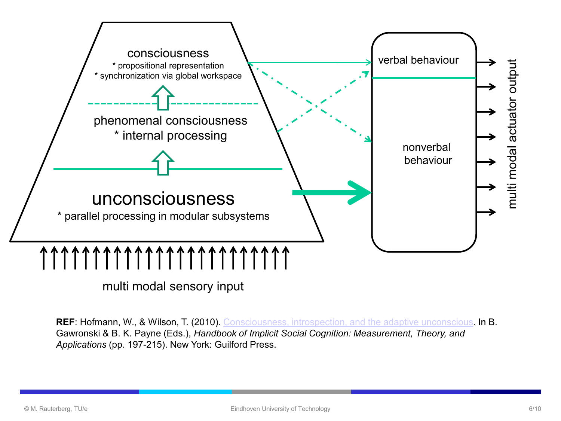

multi modal sensory input

**REF**: Hofmann, W., & Wilson, T. (2010). [Consciousness, introspection, and the adaptive unconscious](http://www.alice.id.tue.nl/references/Hofmann-Wilson-2010.pdf). In B. Gawronski & B. K. Payne (Eds.), *Handbook of Implicit Social Cognition: Measurement, Theory, and Applications* (pp. 197-215). New York: Guilford Press.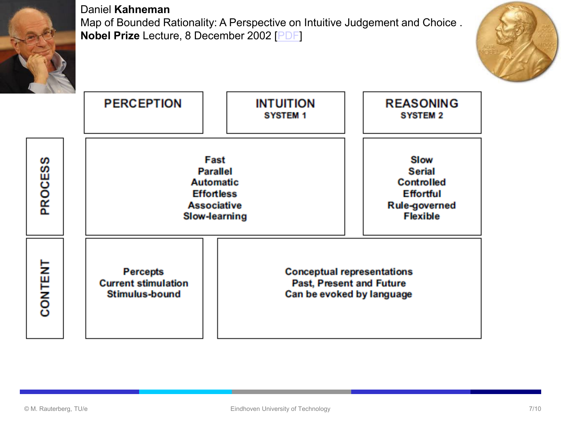

Daniel **Kahneman** Map of Bounded Rationality: A Perspective on Intuitive Judgement and Choice . **Nobel Prize** Lecture, 8 December 2002 [\[PDF](http://www.alice.id.tue.nl/references/kahnemann-2003.pdf)]



**PERCEPTION INTUITION REASONING SYSTEM 2 SYSTEM 1** Fast Slow **PROCESS Parallel Serial Automatic** Controlled **Effortless Effortful Associative Rule-governed Flexible Slow-learning** CONTENT **Percepts Conceptual representations Current stimulation Past, Present and Future Stimulus-bound** Can be evoked by language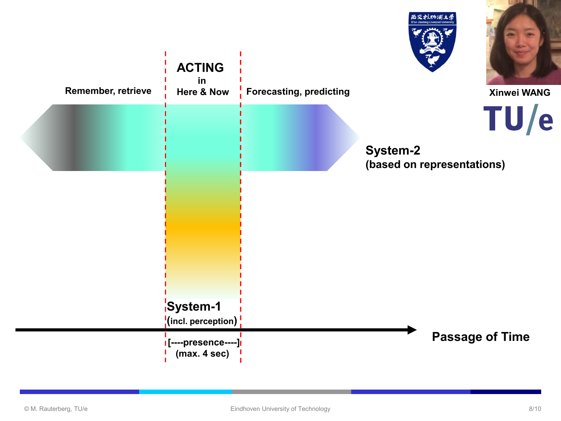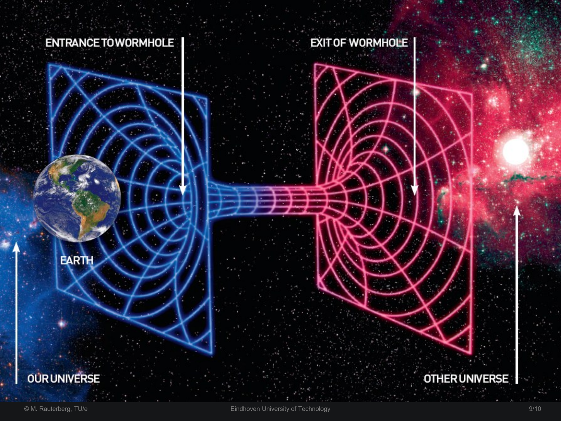#### **ENTRANCE TO WORMHOLE**